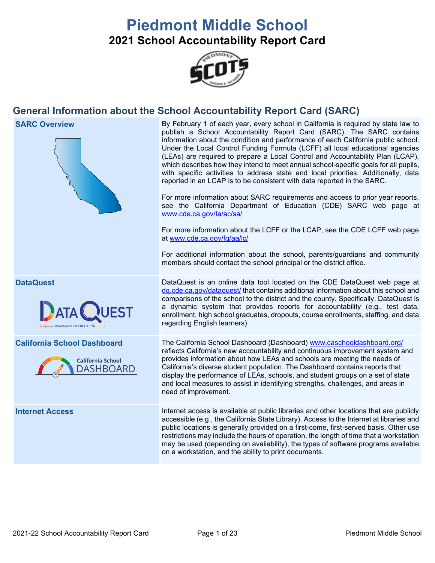# **Piedmont Middle School 2021 School Accountability Report Card**



## **General Information about the School Accountability Report Card (SARC)**



**SARC Overview** By February 1 of each year, every school in California is required by state law to publish a School Accountability Report Card (SARC). The SARC contains information about the condition and performance of each California public school. Under the Local Control Funding Formula (LCFF) all local educational agencies (LEAs) are required to prepare a Local Control and Accountability Plan (LCAP), which describes how they intend to meet annual school-specific goals for all pupils, with specific activities to address state and local priorities. Additionally, data reported in an LCAP is to be consistent with data reported in the SARC.

> For more information about SARC requirements and access to prior year reports, see the California Department of Education (CDE) SARC web page at [www.cde.ca.gov/ta/ac/sa/](https://www.cde.ca.gov/ta/ac/sa/)

> For more information about the LCFF or the LCAP, see the CDE LCFF web page at [www.cde.ca.gov/fg/aa/lc/](https://www.cde.ca.gov/fg/aa/lc/)

> For additional information about the school, parents/guardians and community members should contact the school principal or the district office.



**DataQuest** DataQuest DataQuest is an online data tool located on the CDE DataQuest web page at [dq.cde.ca.gov/dataquest/](https://dq.cde.ca.gov/dataquest/) that contains additional information about this school and comparisons of the school to the district and the county. Specifically, DataQuest is a dynamic system that provides reports for accountability (e.g., test data, enrollment, high school graduates, dropouts, course enrollments, staffing, and data regarding English learners).

**California School Dashboard** The California School Dashboard (Dashboard) [www.caschooldashboard.org/](http://www.caschooldashboard.org/) reflects California's new accountability and continuous improvement system and provides information about how LEAs and schools are meeting the needs of California's diverse student population. The Dashboard contains reports that display the performance of LEAs, schools, and student groups on a set of state and local measures to assist in identifying strengths, challenges, and areas in need of improvement.

**Internet Access** Internet access is available at public libraries and other locations that are publicly accessible (e.g., the California State Library). Access to the Internet at libraries and public locations is generally provided on a first-come, first-served basis. Other use restrictions may include the hours of operation, the length of time that a workstation may be used (depending on availability), the types of software programs available on a workstation, and the ability to print documents.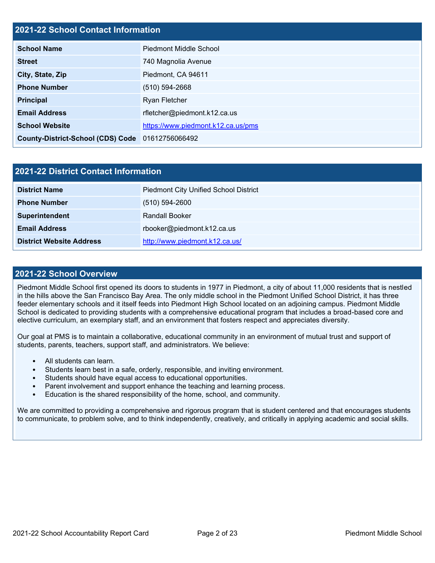## **2021-22 School Contact Information**

| <b>School Name</b>                               | <b>Piedmont Middle School</b>      |  |
|--------------------------------------------------|------------------------------------|--|
| <b>Street</b>                                    | 740 Magnolia Avenue                |  |
| City, State, Zip                                 | Piedmont, CA 94611                 |  |
| <b>Phone Number</b>                              | $(510) 594 - 2668$                 |  |
| <b>Principal</b>                                 | <b>Ryan Fletcher</b>               |  |
| <b>Email Address</b>                             | rfletcher@piedmont.k12.ca.us       |  |
| <b>School Website</b>                            | https://www.piedmont.k12.ca.us/pms |  |
| County-District-School (CDS) Code 01612756066492 |                                    |  |

| <b>2021-22 District Contact Information</b> |                                              |  |  |  |
|---------------------------------------------|----------------------------------------------|--|--|--|
| <b>District Name</b>                        | <b>Piedmont City Unified School District</b> |  |  |  |
| <b>Phone Number</b>                         | $(510) 594 - 2600$                           |  |  |  |
| Superintendent                              | <b>Randall Booker</b>                        |  |  |  |
| <b>Email Address</b>                        | rbooker@piedmont.k12.ca.us                   |  |  |  |
| <b>District Website Address</b>             | http://www.piedmont.k12.ca.us/               |  |  |  |

#### **2021-22 School Overview**

Piedmont Middle School first opened its doors to students in 1977 in Piedmont, a city of about 11,000 residents that is nestled in the hills above the San Francisco Bay Area. The only middle school in the Piedmont Unified School District, it has three feeder elementary schools and it itself feeds into Piedmont High School located on an adjoining campus. Piedmont Middle School is dedicated to providing students with a comprehensive educational program that includes a broad-based core and elective curriculum, an exemplary staff, and an environment that fosters respect and appreciates diversity.

Our goal at PMS is to maintain a collaborative, educational community in an environment of mutual trust and support of students, parents, teachers, support staff, and administrators. We believe:

- All students can learn.
- Students learn best in a safe, orderly, responsible, and inviting environment.
- Students should have equal access to educational opportunities.
- Parent involvement and support enhance the teaching and learning process.
- Education is the shared responsibility of the home, school, and community.

We are committed to providing a comprehensive and rigorous program that is student centered and that encourages students to communicate, to problem solve, and to think independently, creatively, and critically in applying academic and social skills.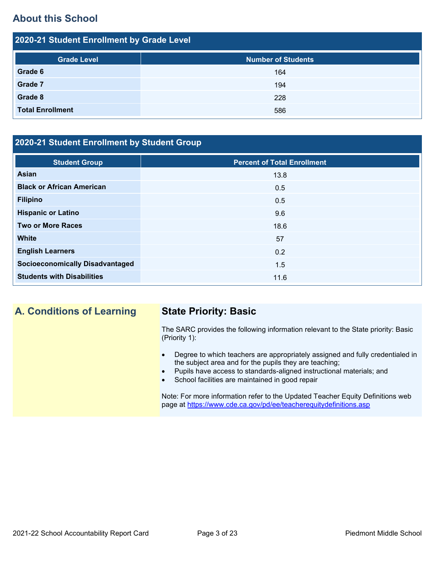## **About this School**

| 2020-21 Student Enrollment by Grade Level |                           |  |  |  |  |
|-------------------------------------------|---------------------------|--|--|--|--|
| <b>Grade Level</b>                        | <b>Number of Students</b> |  |  |  |  |
| Grade 6                                   | 164                       |  |  |  |  |
| <b>Grade 7</b>                            | 194                       |  |  |  |  |
| Grade 8                                   | 228                       |  |  |  |  |
| <b>Total Enrollment</b>                   | 586                       |  |  |  |  |

## **2020-21 Student Enrollment by Student Group**

| <b>Student Group</b>                   | <b>Percent of Total Enrollment</b> |
|----------------------------------------|------------------------------------|
| Asian                                  | 13.8                               |
| <b>Black or African American</b>       | 0.5                                |
| <b>Filipino</b>                        | 0.5                                |
| <b>Hispanic or Latino</b>              | 9.6                                |
| <b>Two or More Races</b>               | 18.6                               |
| <b>White</b>                           | 57                                 |
| <b>English Learners</b>                | 0.2                                |
| <b>Socioeconomically Disadvantaged</b> | 1.5                                |
| <b>Students with Disabilities</b>      | 11.6                               |

## **A. Conditions of Learning State Priority: Basic**

The SARC provides the following information relevant to the State priority: Basic (Priority 1):

- Degree to which teachers are appropriately assigned and fully credentialed in the subject area and for the pupils they are teaching;
- Pupils have access to standards-aligned instructional materials; and
- School facilities are maintained in good repair

Note: For more information refer to the Updated Teacher Equity Definitions web page at<https://www.cde.ca.gov/pd/ee/teacherequitydefinitions.asp>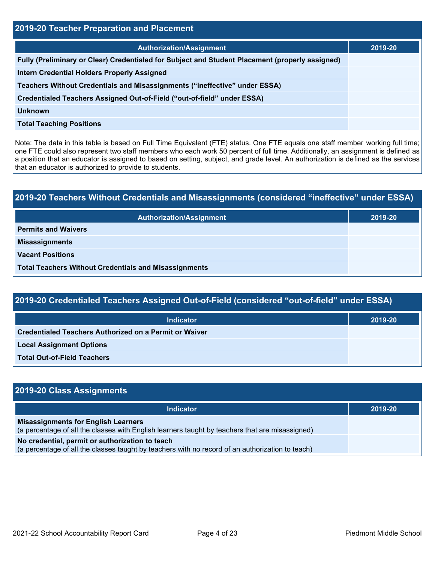| 2019-20 Teacher Preparation and Placement                                                       |         |  |  |
|-------------------------------------------------------------------------------------------------|---------|--|--|
| <b>Authorization/Assignment</b>                                                                 | 2019-20 |  |  |
| Fully (Preliminary or Clear) Credentialed for Subject and Student Placement (properly assigned) |         |  |  |
| <b>Intern Credential Holders Properly Assigned</b>                                              |         |  |  |
| Teachers Without Credentials and Misassignments ("ineffective" under ESSA)                      |         |  |  |
| Credentialed Teachers Assigned Out-of-Field ("out-of-field" under ESSA)                         |         |  |  |
| <b>Unknown</b>                                                                                  |         |  |  |
| <b>Total Teaching Positions</b>                                                                 |         |  |  |

Note: The data in this table is based on Full Time Equivalent (FTE) status. One FTE equals one staff member working full time; one FTE could also represent two staff members who each work 50 percent of full time. Additionally, an assignment is defined as a position that an educator is assigned to based on setting, subject, and grade level. An authorization is defined as the services that an educator is authorized to provide to students.

| 2019-20 Teachers Without Credentials and Misassignments (considered "ineffective" under ESSA) |         |  |  |
|-----------------------------------------------------------------------------------------------|---------|--|--|
| <b>Authorization/Assignment</b>                                                               | 2019-20 |  |  |
| <b>Permits and Waivers</b>                                                                    |         |  |  |
| <b>Misassignments</b>                                                                         |         |  |  |
| <b>Vacant Positions</b>                                                                       |         |  |  |
| <b>Total Teachers Without Credentials and Misassignments</b>                                  |         |  |  |

| <b>Indicator</b>                                              | 2019-20 |
|---------------------------------------------------------------|---------|
| <b>Credentialed Teachers Authorized on a Permit or Waiver</b> |         |
| <b>Local Assignment Options</b>                               |         |
| <b>Total Out-of-Field Teachers</b>                            |         |

| 2019-20 Class Assignments                                                                                                                           |         |
|-----------------------------------------------------------------------------------------------------------------------------------------------------|---------|
| <b>Indicator</b>                                                                                                                                    | 2019-20 |
| <b>Misassignments for English Learners</b><br>(a percentage of all the classes with English learners taught by teachers that are misassigned)       |         |
| No credential, permit or authorization to teach<br>(a percentage of all the classes taught by teachers with no record of an authorization to teach) |         |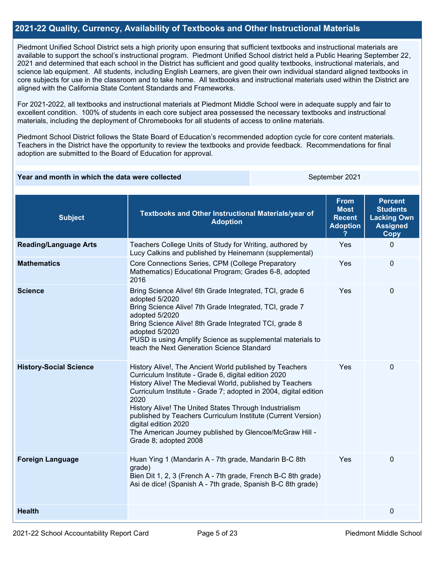## **2021-22 Quality, Currency, Availability of Textbooks and Other Instructional Materials**

Piedmont Unified School District sets a high priority upon ensuring that sufficient textbooks and instructional materials are available to support the school's instructional program. Piedmont Unified School district held a Public Hearing September 22, 2021 and determined that each school in the District has sufficient and good quality textbooks, instructional materials, and science lab equipment. All students, including English Learners, are given their own individual standard aligned textbooks in core subjects for use in the classroom and to take home. All textbooks and instructional materials used within the District are aligned with the California State Content Standards and Frameworks.

For 2021-2022, all textbooks and instructional materials at Piedmont Middle School were in adequate supply and fair to excellent condition. 100% of students in each core subject area possessed the necessary textbooks and instructional materials, including the deployment of Chromebooks for all students of access to online materials.

Piedmont School District follows the State Board of Education's recommended adoption cycle for core content materials. Teachers in the District have the opportunity to review the textbooks and provide feedback. Recommendations for final adoption are submitted to the Board of Education for approval.

#### **Year and month in which the data were collected September 2021** September 2021

| <b>Subject</b>                | Textbooks and Other Instructional Materials/year of<br><b>Adoption</b>                                                                                                                                                                                                                                                                                                                                                                                                                        | <b>From</b><br><b>Most</b><br><b>Recent</b><br><b>Adoption</b> | <b>Percent</b><br><b>Students</b><br><b>Lacking Own</b><br><b>Assigned</b><br><b>Copy</b> |
|-------------------------------|-----------------------------------------------------------------------------------------------------------------------------------------------------------------------------------------------------------------------------------------------------------------------------------------------------------------------------------------------------------------------------------------------------------------------------------------------------------------------------------------------|----------------------------------------------------------------|-------------------------------------------------------------------------------------------|
| <b>Reading/Language Arts</b>  | Teachers College Units of Study for Writing, authored by<br>Lucy Calkins and published by Heinemann (supplemental)                                                                                                                                                                                                                                                                                                                                                                            | Yes                                                            | 0                                                                                         |
| <b>Mathematics</b>            | Core Connections Series, CPM (College Preparatory<br>Mathematics) Educational Program; Grades 6-8, adopted<br>2016                                                                                                                                                                                                                                                                                                                                                                            | Yes                                                            | $\Omega$                                                                                  |
| <b>Science</b>                | Bring Science Alive! 6th Grade Integrated, TCI, grade 6<br>adopted 5/2020<br>Bring Science Alive! 7th Grade Integrated, TCI, grade 7<br>adopted 5/2020<br>Bring Science Alive! 8th Grade Integrated TCI, grade 8<br>adopted 5/2020<br>PUSD is using Amplify Science as supplemental materials to<br>teach the Next Generation Science Standard                                                                                                                                                | Yes                                                            | 0                                                                                         |
| <b>History-Social Science</b> | History Alive!, The Ancient World published by Teachers<br>Curriculum Institute - Grade 6, digital edition 2020<br>History Alive! The Medieval World, published by Teachers<br>Curriculum Institute - Grade 7; adopted in 2004, digital edition<br>2020<br>History Alive! The United States Through Industrialism<br>published by Teachers Curriculum Institute (Current Version)<br>digital edition 2020<br>The American Journey published by Glencoe/McGraw Hill -<br>Grade 8; adopted 2008 | Yes                                                            | $\Omega$                                                                                  |
| <b>Foreign Language</b>       | Huan Ying 1 (Mandarin A - 7th grade, Mandarin B-C 8th<br>grade)<br>Bien Dit 1, 2, 3 (French A - 7th grade, French B-C 8th grade)<br>Asi de dice! (Spanish A - 7th grade, Spanish B-C 8th grade)                                                                                                                                                                                                                                                                                               | Yes                                                            | $\Omega$                                                                                  |
| <b>Health</b>                 |                                                                                                                                                                                                                                                                                                                                                                                                                                                                                               |                                                                | 0                                                                                         |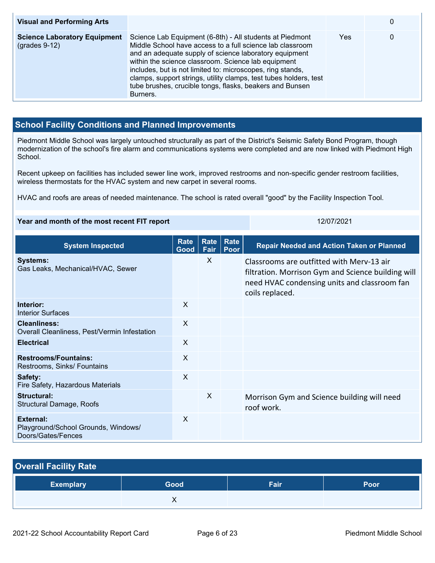| <b>Visual and Performing Arts</b>                      |                                                                                                                                                                                                                                                                                                                                                                                                                                                   |     | 0 |
|--------------------------------------------------------|---------------------------------------------------------------------------------------------------------------------------------------------------------------------------------------------------------------------------------------------------------------------------------------------------------------------------------------------------------------------------------------------------------------------------------------------------|-----|---|
| <b>Science Laboratory Equipment</b><br>$(grades 9-12)$ | Science Lab Equipment (6-8th) - All students at Piedmont<br>Middle School have access to a full science lab classroom<br>and an adequate supply of science laboratory equipment<br>within the science classroom. Science lab equipment<br>includes, but is not limited to: microscopes, ring stands,<br>clamps, support strings, utility clamps, test tubes holders, test<br>tube brushes, crucible tongs, flasks, beakers and Bunsen<br>Burners. | Yes | 0 |

## **School Facility Conditions and Planned Improvements**

Piedmont Middle School was largely untouched structurally as part of the District's Seismic Safety Bond Program, though modernization of the school's fire alarm and communications systems were completed and are now linked with Piedmont High School.

Recent upkeep on facilities has included sewer line work, improved restrooms and non-specific gender restroom facilities, wireless thermostats for the HVAC system and new carpet in several rooms.

HVAC and roofs are areas of needed maintenance. The school is rated overall "good" by the Facility Inspection Tool.

| Year and month of the most recent FIT report                                  |                     |              |                     | 12/07/2021                                                                                                                                                         |
|-------------------------------------------------------------------------------|---------------------|--------------|---------------------|--------------------------------------------------------------------------------------------------------------------------------------------------------------------|
| <b>System Inspected</b>                                                       | <b>Rate</b><br>Good | Rate<br>Fair | <b>Rate</b><br>Poor | <b>Repair Needed and Action Taken or Planned</b>                                                                                                                   |
| <b>Systems:</b><br>Gas Leaks, Mechanical/HVAC, Sewer                          |                     | $\times$     |                     | Classrooms are outfitted with Merv-13 air<br>filtration. Morrison Gym and Science building will<br>need HVAC condensing units and classroom fan<br>coils replaced. |
| Interior:<br><b>Interior Surfaces</b>                                         | X                   |              |                     |                                                                                                                                                                    |
| Cleanliness:<br>Overall Cleanliness, Pest/Vermin Infestation                  | $\sf X$             |              |                     |                                                                                                                                                                    |
| <b>Electrical</b>                                                             | $\sf X$             |              |                     |                                                                                                                                                                    |
| <b>Restrooms/Fountains:</b><br>Restrooms, Sinks/ Fountains                    | X                   |              |                     |                                                                                                                                                                    |
| Safety:<br>Fire Safety, Hazardous Materials                                   | $\times$            |              |                     |                                                                                                                                                                    |
| <b>Structural:</b><br><b>Structural Damage, Roofs</b>                         |                     | X            |                     | Morrison Gym and Science building will need<br>roof work.                                                                                                          |
| <b>External:</b><br>Playground/School Grounds, Windows/<br>Doors/Gates/Fences | X                   |              |                     |                                                                                                                                                                    |
|                                                                               |                     |              |                     |                                                                                                                                                                    |

| <b>Overall Facility Rate</b> |      |      |      |  |  |  |  |
|------------------------------|------|------|------|--|--|--|--|
| <b>Exemplary</b>             | Good | Fair | Poor |  |  |  |  |
|                              |      |      |      |  |  |  |  |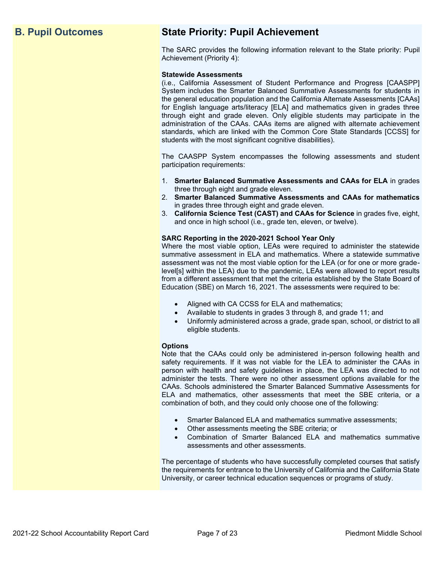## **B. Pupil Outcomes State Priority: Pupil Achievement**

The SARC provides the following information relevant to the State priority: Pupil Achievement (Priority 4):

#### **Statewide Assessments**

(i.e., California Assessment of Student Performance and Progress [CAASPP] System includes the Smarter Balanced Summative Assessments for students in the general education population and the California Alternate Assessments [CAAs] for English language arts/literacy [ELA] and mathematics given in grades three through eight and grade eleven. Only eligible students may participate in the administration of the CAAs. CAAs items are aligned with alternate achievement standards, which are linked with the Common Core State Standards [CCSS] for students with the most significant cognitive disabilities).

The CAASPP System encompasses the following assessments and student participation requirements:

- 1. **Smarter Balanced Summative Assessments and CAAs for ELA** in grades three through eight and grade eleven.
- 2. **Smarter Balanced Summative Assessments and CAAs for mathematics** in grades three through eight and grade eleven.
- 3. **California Science Test (CAST) and CAAs for Science** in grades five, eight, and once in high school (i.e., grade ten, eleven, or twelve).

#### **SARC Reporting in the 2020-2021 School Year Only**

Where the most viable option, LEAs were required to administer the statewide summative assessment in ELA and mathematics. Where a statewide summative assessment was not the most viable option for the LEA (or for one or more gradelevel[s] within the LEA) due to the pandemic, LEAs were allowed to report results from a different assessment that met the criteria established by the State Board of Education (SBE) on March 16, 2021. The assessments were required to be:

- Aligned with CA CCSS for ELA and mathematics;
- Available to students in grades 3 through 8, and grade 11; and
- Uniformly administered across a grade, grade span, school, or district to all eligible students.

#### **Options**

Note that the CAAs could only be administered in-person following health and safety requirements. If it was not viable for the LEA to administer the CAAs in person with health and safety guidelines in place, the LEA was directed to not administer the tests. There were no other assessment options available for the CAAs. Schools administered the Smarter Balanced Summative Assessments for ELA and mathematics, other assessments that meet the SBE criteria, or a combination of both, and they could only choose one of the following:

- Smarter Balanced ELA and mathematics summative assessments;
- Other assessments meeting the SBE criteria; or
- Combination of Smarter Balanced ELA and mathematics summative assessments and other assessments.

The percentage of students who have successfully completed courses that satisfy the requirements for entrance to the University of California and the California State University, or career technical education sequences or programs of study.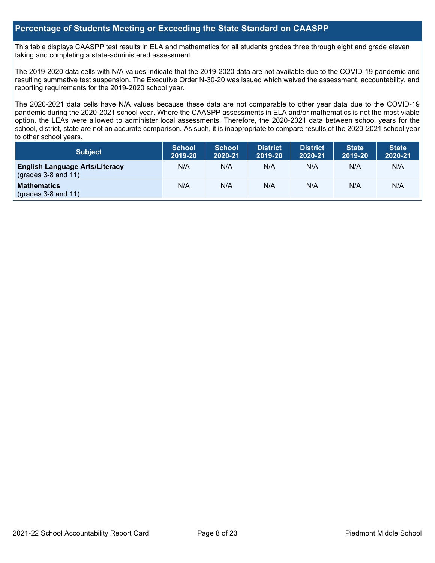## **Percentage of Students Meeting or Exceeding the State Standard on CAASPP**

This table displays CAASPP test results in ELA and mathematics for all students grades three through eight and grade eleven taking and completing a state-administered assessment.

The 2019-2020 data cells with N/A values indicate that the 2019-2020 data are not available due to the COVID-19 pandemic and resulting summative test suspension. The Executive Order N-30-20 was issued which waived the assessment, accountability, and reporting requirements for the 2019-2020 school year.

The 2020-2021 data cells have N/A values because these data are not comparable to other year data due to the COVID-19 pandemic during the 2020-2021 school year. Where the CAASPP assessments in ELA and/or mathematics is not the most viable option, the LEAs were allowed to administer local assessments. Therefore, the 2020-2021 data between school years for the school, district, state are not an accurate comparison. As such, it is inappropriate to compare results of the 2020-2021 school year to other school years.

| Subject                                                              | <b>School</b><br>2019-20 | <b>School</b><br>2020-21 | <b>District</b><br>2019-20 | <b>District</b><br>2020-21 | <b>State</b><br>2019-20 | <b>State</b><br>2020-21 |
|----------------------------------------------------------------------|--------------------------|--------------------------|----------------------------|----------------------------|-------------------------|-------------------------|
| <b>English Language Arts/Literacy</b><br>$\left($ grades 3-8 and 11) | N/A                      | N/A                      | N/A                        | N/A                        | N/A                     | N/A                     |
| <b>Mathematics</b><br>$(grades 3-8 and 11)$                          | N/A                      | N/A                      | N/A                        | N/A                        | N/A                     | N/A                     |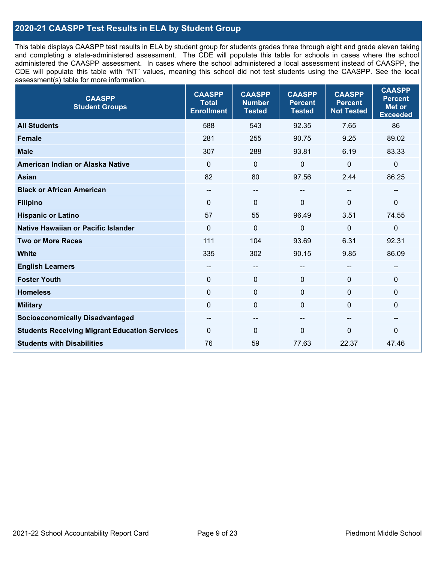## **2020-21 CAASPP Test Results in ELA by Student Group**

This table displays CAASPP test results in ELA by student group for students grades three through eight and grade eleven taking and completing a state-administered assessment. The CDE will populate this table for schools in cases where the school administered the CAASPP assessment. In cases where the school administered a local assessment instead of CAASPP, the CDE will populate this table with "NT" values, meaning this school did not test students using the CAASPP. See the local assessment(s) table for more information.

| <b>CAASPP</b><br><b>Student Groups</b>               | <b>CAASPP</b><br><b>Total</b><br><b>Enrollment</b> | <b>CAASPP</b><br><b>Number</b><br><b>Tested</b> | <b>CAASPP</b><br><b>Percent</b><br><b>Tested</b> | <b>CAASPP</b><br><b>Percent</b><br><b>Not Tested</b> | <b>CAASPP</b><br><b>Percent</b><br>Met or<br><b>Exceeded</b> |
|------------------------------------------------------|----------------------------------------------------|-------------------------------------------------|--------------------------------------------------|------------------------------------------------------|--------------------------------------------------------------|
| <b>All Students</b>                                  | 588                                                | 543                                             | 92.35                                            | 7.65                                                 | 86                                                           |
| <b>Female</b>                                        | 281                                                | 255                                             | 90.75                                            | 9.25                                                 | 89.02                                                        |
| <b>Male</b>                                          | 307                                                | 288                                             | 93.81                                            | 6.19                                                 | 83.33                                                        |
| American Indian or Alaska Native                     | $\mathbf 0$                                        | $\mathbf 0$                                     | $\mathbf 0$                                      | $\overline{0}$                                       | $\pmb{0}$                                                    |
| <b>Asian</b>                                         | 82                                                 | 80                                              | 97.56                                            | 2.44                                                 | 86.25                                                        |
| <b>Black or African American</b>                     | --                                                 | $\overline{\phantom{m}}$                        | --                                               | $\sim$                                               | --                                                           |
| <b>Filipino</b>                                      | $\mathbf{0}$                                       | $\mathbf 0$                                     | $\mathbf{0}$                                     | $\Omega$                                             | 0                                                            |
| <b>Hispanic or Latino</b>                            | 57                                                 | 55                                              | 96.49                                            | 3.51                                                 | 74.55                                                        |
| Native Hawaiian or Pacific Islander                  | 0                                                  | $\mathbf 0$                                     | 0                                                | $\mathbf 0$                                          | $\mathbf 0$                                                  |
| <b>Two or More Races</b>                             | 111                                                | 104                                             | 93.69                                            | 6.31                                                 | 92.31                                                        |
| <b>White</b>                                         | 335                                                | 302                                             | 90.15                                            | 9.85                                                 | 86.09                                                        |
| <b>English Learners</b>                              | $- -$                                              | $\overline{\phantom{a}}$                        |                                                  | --                                                   | --                                                           |
| <b>Foster Youth</b>                                  | $\mathbf{0}$                                       | $\mathbf 0$                                     | $\mathbf{0}$                                     | $\mathbf{0}$                                         | 0                                                            |
| <b>Homeless</b>                                      | $\mathbf 0$                                        | $\pmb{0}$                                       | $\mathbf 0$                                      | $\mathbf 0$                                          | 0                                                            |
| <b>Military</b>                                      | $\mathbf{0}$                                       | $\mathbf 0$                                     | $\mathbf{0}$                                     | $\mathbf 0$                                          | 0                                                            |
| <b>Socioeconomically Disadvantaged</b>               | --                                                 | $\sim$                                          | --                                               | $\overline{\phantom{a}}$                             | --                                                           |
| <b>Students Receiving Migrant Education Services</b> | $\Omega$                                           | $\mathbf 0$                                     | $\Omega$                                         | $\mathbf{0}$                                         | $\mathbf{0}$                                                 |
| <b>Students with Disabilities</b>                    | 76                                                 | 59                                              | 77.63                                            | 22.37                                                | 47.46                                                        |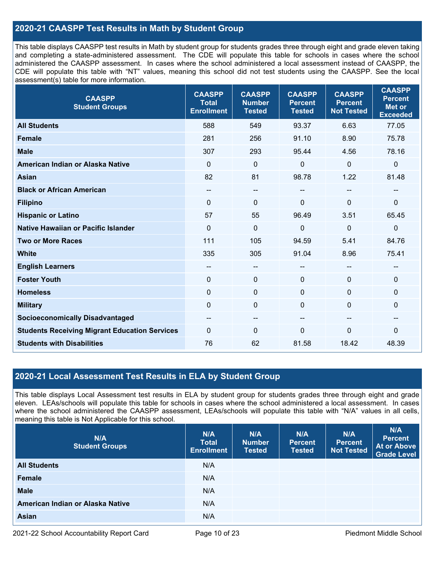## **2020-21 CAASPP Test Results in Math by Student Group**

This table displays CAASPP test results in Math by student group for students grades three through eight and grade eleven taking and completing a state-administered assessment. The CDE will populate this table for schools in cases where the school administered the CAASPP assessment. In cases where the school administered a local assessment instead of CAASPP, the CDE will populate this table with "NT" values, meaning this school did not test students using the CAASPP. See the local assessment(s) table for more information.

| <b>CAASPP</b><br><b>Student Groups</b>               | <b>CAASPP</b><br><b>Total</b><br><b>Enrollment</b> | <b>CAASPP</b><br><b>Number</b><br><b>Tested</b> | <b>CAASPP</b><br><b>Percent</b><br><b>Tested</b> | <b>CAASPP</b><br><b>Percent</b><br><b>Not Tested</b> | <b>CAASPP</b><br><b>Percent</b><br><b>Met or</b><br><b>Exceeded</b> |
|------------------------------------------------------|----------------------------------------------------|-------------------------------------------------|--------------------------------------------------|------------------------------------------------------|---------------------------------------------------------------------|
| <b>All Students</b>                                  | 588                                                | 549                                             | 93.37                                            | 6.63                                                 | 77.05                                                               |
| <b>Female</b>                                        | 281                                                | 256                                             | 91.10                                            | 8.90                                                 | 75.78                                                               |
| <b>Male</b>                                          | 307                                                | 293                                             | 95.44                                            | 4.56                                                 | 78.16                                                               |
| American Indian or Alaska Native                     | $\mathbf{0}$                                       | $\mathbf 0$                                     | 0                                                | $\mathbf 0$                                          | $\boldsymbol{0}$                                                    |
| Asian                                                | 82                                                 | 81                                              | 98.78                                            | 1.22                                                 | 81.48                                                               |
| <b>Black or African American</b>                     | --                                                 | $\qquad \qquad -$                               | --                                               | $\sim$                                               | $\overline{\phantom{m}}$                                            |
| <b>Filipino</b>                                      | $\mathbf{0}$                                       | $\mathbf{0}$                                    | $\Omega$                                         | $\Omega$                                             | $\mathbf 0$                                                         |
| <b>Hispanic or Latino</b>                            | 57                                                 | 55                                              | 96.49                                            | 3.51                                                 | 65.45                                                               |
| Native Hawaiian or Pacific Islander                  | $\mathbf 0$                                        | $\mathbf 0$                                     | 0                                                | $\mathbf 0$                                          | $\mathbf 0$                                                         |
| <b>Two or More Races</b>                             | 111                                                | 105                                             | 94.59                                            | 5.41                                                 | 84.76                                                               |
| <b>White</b>                                         | 335                                                | 305                                             | 91.04                                            | 8.96                                                 | 75.41                                                               |
| <b>English Learners</b>                              | --                                                 | --                                              | --                                               |                                                      | --                                                                  |
| <b>Foster Youth</b>                                  | $\mathbf 0$                                        | $\mathbf 0$                                     | $\Omega$                                         | $\Omega$                                             | $\mathbf 0$                                                         |
| <b>Homeless</b>                                      | $\mathbf 0$                                        | $\mathbf 0$                                     | $\Omega$                                         | $\Omega$                                             | $\mathbf 0$                                                         |
| <b>Military</b>                                      | $\mathbf 0$                                        | $\pmb{0}$                                       | 0                                                | $\mathbf 0$                                          | $\pmb{0}$                                                           |
| <b>Socioeconomically Disadvantaged</b>               | $- -$                                              | --                                              | --                                               | --                                                   | --                                                                  |
| <b>Students Receiving Migrant Education Services</b> | $\mathbf{0}$                                       | 0                                               | $\Omega$                                         | $\Omega$                                             | 0                                                                   |
| <b>Students with Disabilities</b>                    | 76                                                 | 62                                              | 81.58                                            | 18.42                                                | 48.39                                                               |

## **2020-21 Local Assessment Test Results in ELA by Student Group**

This table displays Local Assessment test results in ELA by student group for students grades three through eight and grade eleven. LEAs/schools will populate this table for schools in cases where the school administered a local assessment. In cases where the school administered the CAASPP assessment, LEAs/schools will populate this table with "N/A" values in all cells, meaning this table is Not Applicable for this school.

| N/A<br><b>Student Groups</b>     | N/A<br><b>Total</b><br><b>Enrollment</b> | N/A<br><b>Number</b><br><b>Tested</b> | N/A<br><b>Percent</b><br><b>Tested</b> | N/A<br><b>Percent</b><br><b>Not Tested</b> | N/A<br><b>Percent</b><br><b>At or Above</b><br><b>Grade Level</b> |
|----------------------------------|------------------------------------------|---------------------------------------|----------------------------------------|--------------------------------------------|-------------------------------------------------------------------|
| <b>All Students</b>              | N/A                                      |                                       |                                        |                                            |                                                                   |
| <b>Female</b>                    | N/A                                      |                                       |                                        |                                            |                                                                   |
| <b>Male</b>                      | N/A                                      |                                       |                                        |                                            |                                                                   |
| American Indian or Alaska Native | N/A                                      |                                       |                                        |                                            |                                                                   |
| <b>Asian</b>                     | N/A                                      |                                       |                                        |                                            |                                                                   |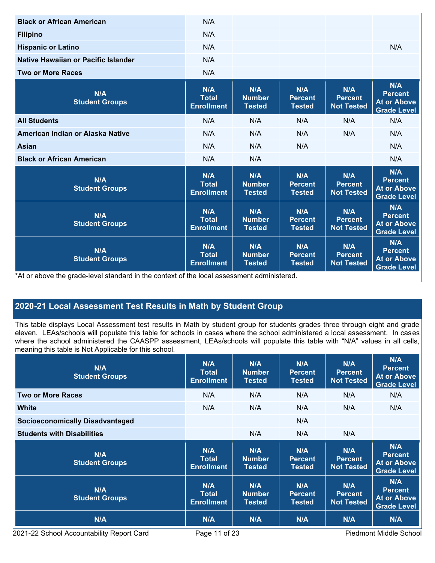| <b>Black or African American</b>                                                           | N/A                                      |                                       |                                        |                                            |                                                                   |
|--------------------------------------------------------------------------------------------|------------------------------------------|---------------------------------------|----------------------------------------|--------------------------------------------|-------------------------------------------------------------------|
| <b>Filipino</b>                                                                            | N/A                                      |                                       |                                        |                                            |                                                                   |
| <b>Hispanic or Latino</b>                                                                  | N/A                                      |                                       |                                        |                                            | N/A                                                               |
| Native Hawaiian or Pacific Islander                                                        | N/A                                      |                                       |                                        |                                            |                                                                   |
| <b>Two or More Races</b>                                                                   | N/A                                      |                                       |                                        |                                            |                                                                   |
| N/A<br><b>Student Groups</b>                                                               | N/A<br>Total<br><b>Enrollment</b>        | N/A<br><b>Number</b><br><b>Tested</b> | N/A<br><b>Percent</b><br><b>Tested</b> | N/A<br><b>Percent</b><br><b>Not Tested</b> | N/A<br><b>Percent</b><br><b>At or Above</b><br><b>Grade Level</b> |
| <b>All Students</b>                                                                        | N/A                                      | N/A                                   | N/A                                    | N/A                                        | N/A                                                               |
| American Indian or Alaska Native                                                           | N/A                                      | N/A                                   | N/A                                    | N/A                                        | N/A                                                               |
| <b>Asian</b>                                                                               | N/A                                      | N/A                                   | N/A                                    |                                            | N/A                                                               |
| <b>Black or African American</b>                                                           | N/A                                      | N/A                                   |                                        |                                            | N/A                                                               |
| N/A<br><b>Student Groups</b>                                                               | N/A<br><b>Total</b><br><b>Enrollment</b> | N/A<br><b>Number</b><br><b>Tested</b> | N/A<br><b>Percent</b><br><b>Tested</b> | N/A<br><b>Percent</b><br><b>Not Tested</b> | N/A<br><b>Percent</b><br><b>At or Above</b><br><b>Grade Level</b> |
| N/A<br><b>Student Groups</b>                                                               | N/A<br><b>Total</b><br><b>Enrollment</b> | N/A<br><b>Number</b><br><b>Tested</b> | N/A<br><b>Percent</b><br><b>Tested</b> | N/A<br><b>Percent</b><br><b>Not Tested</b> | N/A<br><b>Percent</b><br><b>At or Above</b><br><b>Grade Level</b> |
| N/A<br><b>Student Groups</b>                                                               | N/A<br><b>Total</b><br><b>Enrollment</b> | N/A<br><b>Number</b><br><b>Tested</b> | N/A<br><b>Percent</b><br><b>Tested</b> | N/A<br><b>Percent</b><br><b>Not Tested</b> | N/A<br><b>Percent</b><br><b>At or Above</b><br><b>Grade Level</b> |
| *At or above the grade-level standard in the context of the local assessment administered. |                                          |                                       |                                        |                                            |                                                                   |

## **2020-21 Local Assessment Test Results in Math by Student Group**

This table displays Local Assessment test results in Math by student group for students grades three through eight and grade eleven. LEAs/schools will populate this table for schools in cases where the school administered a local assessment. In cases where the school administered the CAASPP assessment, LEAs/schools will populate this table with "N/A" values in all cells, meaning this table is Not Applicable for this school.

| N/A<br><b>Student Groups</b>           | N/A<br>Total<br><b>Enrollment</b> | <b>N/A</b><br><b>Number</b><br><b>Tested</b> | N/A<br><b>Percent</b><br><b>Tested</b> | N/A<br><b>Percent</b><br><b>Not Tested</b> | N/A<br><b>Percent</b><br><b>At or Above</b><br><b>Grade Level</b> |
|----------------------------------------|-----------------------------------|----------------------------------------------|----------------------------------------|--------------------------------------------|-------------------------------------------------------------------|
| <b>Two or More Races</b>               | N/A                               | N/A                                          | N/A                                    | N/A                                        | N/A                                                               |
| White                                  | N/A                               | N/A                                          | N/A                                    | N/A                                        | N/A                                                               |
| <b>Socioeconomically Disadvantaged</b> |                                   |                                              | N/A                                    |                                            |                                                                   |
| <b>Students with Disabilities</b>      |                                   | N/A                                          | N/A                                    | N/A                                        |                                                                   |
|                                        |                                   |                                              |                                        |                                            |                                                                   |
| N/A<br><b>Student Groups</b>           | N/A<br>Total<br><b>Enrollment</b> | N/A<br><b>Number</b><br><b>Tested</b>        | N/A<br><b>Percent</b><br><b>Tested</b> | N/A<br><b>Percent</b><br><b>Not Tested</b> | N/A<br><b>Percent</b><br><b>At or Above</b><br><b>Grade Level</b> |
| N/A<br><b>Student Groups</b>           | N/A<br>Total<br><b>Enrollment</b> | N/A<br><b>Number</b><br><b>Tested</b>        | N/A<br><b>Percent</b><br><b>Tested</b> | N/A<br><b>Percent</b><br><b>Not Tested</b> | N/A<br><b>Percent</b><br><b>At or Above</b><br><b>Grade Level</b> |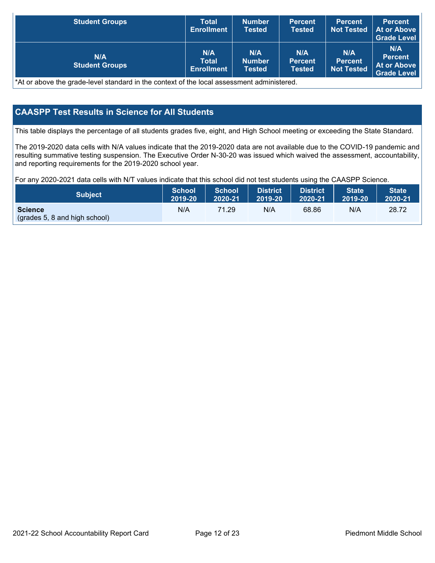| <b>Student Groups</b>        | Total<br><b>Enrollment</b>        | <b>Number</b><br><b>Tested</b> | <b>Percent</b><br><b>Tested</b>        | <b>Percent</b><br><b>Not Tested</b>        | <b>Percent</b><br>At or Above<br><b>Grade Level</b>        |
|------------------------------|-----------------------------------|--------------------------------|----------------------------------------|--------------------------------------------|------------------------------------------------------------|
| N/A<br><b>Student Groups</b> | N/A<br>Total<br><b>Enrollment</b> | N/A<br><b>Number</b><br>Tested | N/A<br><b>Percent</b><br><b>Tested</b> | N/A<br><b>Percent</b><br><b>Not Tested</b> | N/A<br><b>Percent</b><br><b>At or Above</b><br>Grade Level |

\*At or above the grade-level standard in the context of the local assessment administered.

## **CAASPP Test Results in Science for All Students**

This table displays the percentage of all students grades five, eight, and High School meeting or exceeding the State Standard.

The 2019-2020 data cells with N/A values indicate that the 2019-2020 data are not available due to the COVID-19 pandemic and resulting summative testing suspension. The Executive Order N-30-20 was issued which waived the assessment, accountability, and reporting requirements for the 2019-2020 school year.

For any 2020-2021 data cells with N/T values indicate that this school did not test students using the CAASPP Science.

| <b>Subject</b>                                  | <b>School</b> | <b>School</b> | <b>District</b> | <b>District</b> | <b>State</b> | <b>State</b> |
|-------------------------------------------------|---------------|---------------|-----------------|-----------------|--------------|--------------|
|                                                 | 2019-20       | 2020-21       | 2019-20         | 2020-21         | 2019-20      | 2020-21      |
| <b>Science</b><br>(grades 5, 8 and high school) | N/A           | 71.29         | N/A             | 68.86           | N/A          | 28.72        |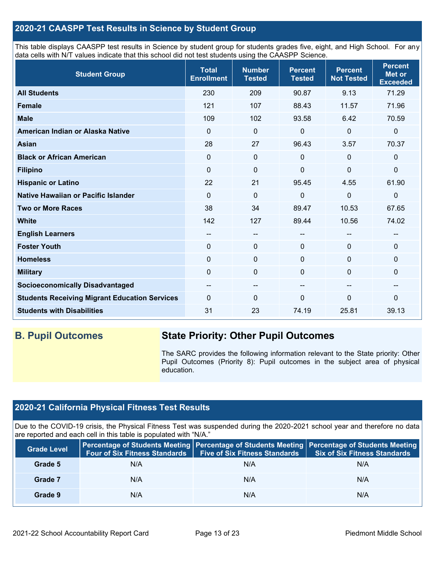## **2020-21 CAASPP Test Results in Science by Student Group**

This table displays CAASPP test results in Science by student group for students grades five, eight, and High School. For any data cells with N/T values indicate that this school did not test students using the CAASPP Science.

| <b>Student Group</b>                                 | <b>Total</b><br><b>Enrollment</b>     | <b>Number</b><br><b>Tested</b> | <b>Percent</b><br><b>Tested</b> | <b>Percent</b><br><b>Not Tested</b> | <b>Percent</b><br>Met or<br><b>Exceeded</b> |
|------------------------------------------------------|---------------------------------------|--------------------------------|---------------------------------|-------------------------------------|---------------------------------------------|
| <b>All Students</b>                                  | 230                                   | 209                            | 90.87                           | 9.13                                | 71.29                                       |
| <b>Female</b>                                        | 121                                   | 107                            | 88.43                           | 11.57                               | 71.96                                       |
| <b>Male</b>                                          | 109                                   | 102                            | 93.58                           | 6.42                                | 70.59                                       |
| American Indian or Alaska Native                     | $\Omega$                              | $\Omega$                       | 0                               | $\mathbf{0}$                        | 0                                           |
| <b>Asian</b>                                         | 28                                    | 27                             | 96.43                           | 3.57                                | 70.37                                       |
| <b>Black or African American</b>                     | 0                                     | $\mathbf 0$                    | 0                               | $\mathbf 0$                         | 0                                           |
| <b>Filipino</b>                                      | 0                                     | 0                              | 0                               | 0                                   | 0                                           |
| <b>Hispanic or Latino</b>                            | 22                                    | 21                             | 95.45                           | 4.55                                | 61.90                                       |
| Native Hawaiian or Pacific Islander                  | $\Omega$                              | 0                              | $\Omega$                        | $\mathbf 0$                         | 0                                           |
| <b>Two or More Races</b>                             | 38                                    | 34                             | 89.47                           | 10.53                               | 67.65                                       |
| <b>White</b>                                         | 142                                   | 127                            | 89.44                           | 10.56                               | 74.02                                       |
| <b>English Learners</b>                              | --                                    | $- -$                          | --                              | --                                  | $\overline{\phantom{m}}$                    |
| <b>Foster Youth</b>                                  | $\Omega$                              | $\mathbf 0$                    | $\mathbf 0$                     | $\mathbf 0$                         | 0                                           |
| <b>Homeless</b>                                      | 0                                     | $\mathbf 0$                    | 0                               | 0                                   | 0                                           |
| <b>Military</b>                                      | 0                                     | $\mathbf 0$                    | 0                               | 0                                   | 0                                           |
| <b>Socioeconomically Disadvantaged</b>               | $\hspace{0.05cm}$ – $\hspace{0.05cm}$ | $\qquad \qquad -$              | $\sim$                          | --                                  | --                                          |
| <b>Students Receiving Migrant Education Services</b> | $\Omega$                              | 0                              | $\Omega$                        | 0                                   | 0                                           |
| <b>Students with Disabilities</b>                    | 31                                    | 23                             | 74.19                           | 25.81                               | 39.13                                       |

## **B. Pupil Outcomes State Priority: Other Pupil Outcomes**

The SARC provides the following information relevant to the State priority: Other Pupil Outcomes (Priority 8): Pupil outcomes in the subject area of physical education.

## **2020-21 California Physical Fitness Test Results**

Due to the COVID-19 crisis, the Physical Fitness Test was suspended during the 2020-2021 school year and therefore no data are reported and each cell in this table is populated with "N/A."

| <b>Grade Level</b> | Four of Six Fitness Standards | <b>Five of Six Fitness Standards</b> | Percentage of Students Meeting   Percentage of Students Meeting   Percentage of Students Meeting<br><b>Six of Six Fitness Standards</b> |
|--------------------|-------------------------------|--------------------------------------|-----------------------------------------------------------------------------------------------------------------------------------------|
| Grade 5            | N/A                           | N/A                                  | N/A                                                                                                                                     |
| Grade 7            | N/A                           | N/A                                  | N/A                                                                                                                                     |
| Grade 9            | N/A                           | N/A                                  | N/A                                                                                                                                     |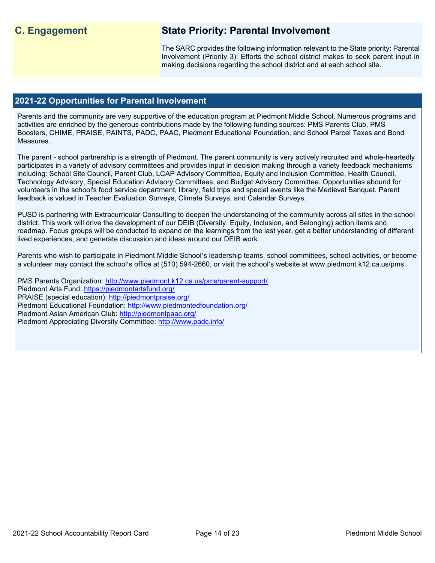## **C. Engagement State Priority: Parental Involvement**

The SARC provides the following information relevant to the State priority: Parental Involvement (Priority 3): Efforts the school district makes to seek parent input in making decisions regarding the school district and at each school site.

#### **2021-22 Opportunities for Parental Involvement**

Parents and the community are very supportive of the education program at Piedmont Middle School. Numerous programs and activities are enriched by the generous contributions made by the following funding sources: PMS Parents Club, PMS Boosters, CHIME, PRAISE, PAINTS, PADC, PAAC, Piedmont Educational Foundation, and School Parcel Taxes and Bond Measures.

The parent - school partnership is a strength of Piedmont. The parent community is very actively recruited and whole-heartedly participates in a variety of advisory committees and provides input in decision making through a variety feedback mechanisms including: School Site Council, Parent Club, LCAP Advisory Committee, Equity and Inclusion Committee, Health Council, Technology Advisory, Special Education Advisory Committees, and Budget Advisory Committee. Opportunities abound for volunteers in the school's food service department, library, field trips and special events like the Medieval Banquet. Parent feedback is valued in Teacher Evaluation Surveys, Climate Surveys, and Calendar Surveys.

PUSD is partnering with Extracurricular Consulting to deepen the understanding of the community across all sites in the school district. This work will drive the development of our DEIB (Diversity, Equity, Inclusion, and Belonging) action items and roadmap. Focus groups will be conducted to expand on the learnings from the last year, get a better understanding of different lived experiences, and generate discussion and ideas around our DEIB work.

Parents who wish to participate in Piedmont Middle School's leadership teams, school committees, school activities, or become a volunteer may contact the school's office at (510) 594-2660, or visit the school's website at www.piedmont.k12.ca.us/pms.

PMS Parents Organization:<http://www.piedmont.k12.ca.us/pms/parent-support/> Piedmont Arts Fund:<https://piedmontartsfund.org/> PRAISE (special education):<http://piedmontpraise.org/> Piedmont Educational Foundation:<http://www.piedmontedfoundation.org/> Piedmont Asian American Club:<http://piedmontpaac.org/> Piedmont Appreciating Diversity Committee:<http://www.padc.info/>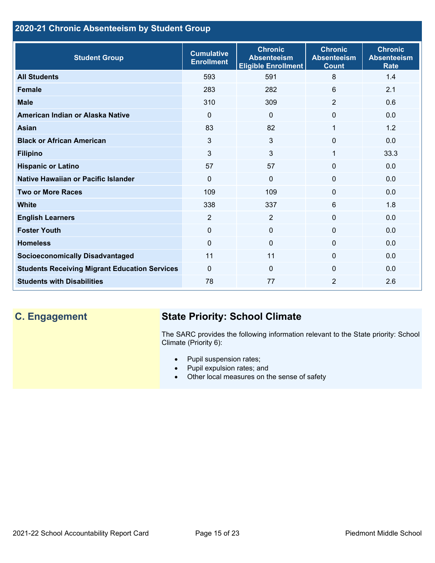## **2020-21 Chronic Absenteeism by Student Group**

| <b>Student Group</b>                                 | <b>Cumulative</b><br><b>Enrollment</b> | <b>Chronic</b><br><b>Absenteeism</b><br><b>Eligible Enrollment</b> | <b>Chronic</b><br><b>Absenteeism</b><br><b>Count</b> | <b>Chronic</b><br><b>Absenteeism</b><br><b>Rate</b> |
|------------------------------------------------------|----------------------------------------|--------------------------------------------------------------------|------------------------------------------------------|-----------------------------------------------------|
| <b>All Students</b>                                  | 593                                    | 591                                                                | 8                                                    | 1.4                                                 |
| <b>Female</b>                                        | 283                                    | 282                                                                | 6                                                    | 2.1                                                 |
| <b>Male</b>                                          | 310                                    | 309                                                                | $\overline{2}$                                       | 0.6                                                 |
| American Indian or Alaska Native                     | 0                                      | $\Omega$                                                           | $\Omega$                                             | 0.0                                                 |
| <b>Asian</b>                                         | 83                                     | 82                                                                 | 1                                                    | 1.2                                                 |
| <b>Black or African American</b>                     | 3                                      | 3                                                                  | $\Omega$                                             | 0.0                                                 |
| <b>Filipino</b>                                      | 3                                      | 3                                                                  | 1                                                    | 33.3                                                |
| <b>Hispanic or Latino</b>                            | 57                                     | 57                                                                 | $\Omega$                                             | 0.0                                                 |
| Native Hawaiian or Pacific Islander                  | $\Omega$                               | $\Omega$                                                           | $\mathbf 0$                                          | 0.0                                                 |
| <b>Two or More Races</b>                             | 109                                    | 109                                                                | $\mathbf{0}$                                         | 0.0                                                 |
| <b>White</b>                                         | 338                                    | 337                                                                | 6                                                    | 1.8                                                 |
| <b>English Learners</b>                              | $\overline{2}$                         | $\overline{2}$                                                     | $\Omega$                                             | 0.0                                                 |
| <b>Foster Youth</b>                                  | $\Omega$                               | $\mathbf{0}$                                                       | $\Omega$                                             | 0.0                                                 |
| <b>Homeless</b>                                      | 0                                      | $\mathbf 0$                                                        | 0                                                    | 0.0                                                 |
| <b>Socioeconomically Disadvantaged</b>               | 11                                     | 11                                                                 | $\Omega$                                             | 0.0                                                 |
| <b>Students Receiving Migrant Education Services</b> | $\mathbf{0}$                           | $\Omega$                                                           | $\Omega$                                             | 0.0                                                 |
| <b>Students with Disabilities</b>                    | 78                                     | 77                                                                 | $\overline{2}$                                       | 2.6                                                 |

# **C. Engagement State Priority: School Climate**

The SARC provides the following information relevant to the State priority: School Climate (Priority 6):

- Pupil suspension rates;
- Pupil expulsion rates; and
- Other local measures on the sense of safety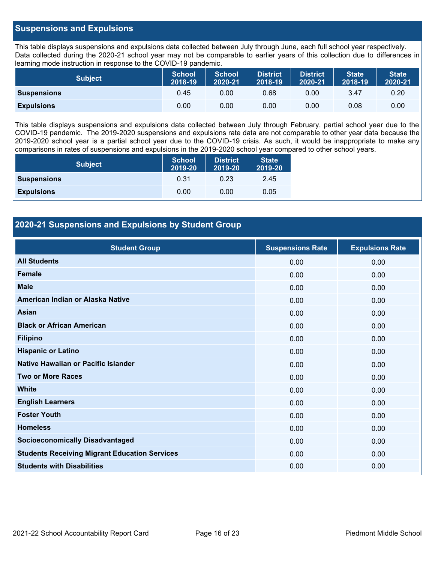## **Suspensions and Expulsions**

This table displays suspensions and expulsions data collected between July through June, each full school year respectively. Data collected during the 2020-21 school year may not be comparable to earlier years of this collection due to differences in learning mode instruction in response to the COVID-19 pandemic.

| <b>Subject</b>     | <b>School</b><br>2018-19 | <b>School</b><br>2020-21 | <b>District</b><br>2018-19 | <b>District</b><br>2020-21 | <b>State</b><br>2018-19 | <b>State</b><br>2020-21 |
|--------------------|--------------------------|--------------------------|----------------------------|----------------------------|-------------------------|-------------------------|
| <b>Suspensions</b> | 0.45                     | 0.00                     | 0.68                       | 0.00                       | 3.47                    | 0.20                    |
| <b>Expulsions</b>  | 0.00                     | 0.00                     | 0.00                       | 0.00                       | 0.08                    | 0.00                    |

This table displays suspensions and expulsions data collected between July through February, partial school year due to the COVID-19 pandemic. The 2019-2020 suspensions and expulsions rate data are not comparable to other year data because the 2019-2020 school year is a partial school year due to the COVID-19 crisis. As such, it would be inappropriate to make any comparisons in rates of suspensions and expulsions in the 2019-2020 school year compared to other school years.

| <b>Subject</b>     | <b>School</b><br>2019-20 | <b>District</b><br>2019-20 | <b>State</b><br>2019-20 |
|--------------------|--------------------------|----------------------------|-------------------------|
| <b>Suspensions</b> | 0.31                     | 0.23                       | 2.45                    |
| <b>Expulsions</b>  | 0.00                     | 0.00                       | 0.05                    |

## **2020-21 Suspensions and Expulsions by Student Group**

| <b>Student Group</b>                                 | <b>Suspensions Rate</b> | <b>Expulsions Rate</b> |
|------------------------------------------------------|-------------------------|------------------------|
| <b>All Students</b>                                  | 0.00                    | 0.00                   |
| <b>Female</b>                                        | 0.00                    | 0.00                   |
| <b>Male</b>                                          | 0.00                    | 0.00                   |
| American Indian or Alaska Native                     | 0.00                    | 0.00                   |
| <b>Asian</b>                                         | 0.00                    | 0.00                   |
| <b>Black or African American</b>                     | 0.00                    | 0.00                   |
| <b>Filipino</b>                                      | 0.00                    | 0.00                   |
| <b>Hispanic or Latino</b>                            | 0.00                    | 0.00                   |
| Native Hawaiian or Pacific Islander                  | 0.00                    | 0.00                   |
| <b>Two or More Races</b>                             | 0.00                    | 0.00                   |
| <b>White</b>                                         | 0.00                    | 0.00                   |
| <b>English Learners</b>                              | 0.00                    | 0.00                   |
| <b>Foster Youth</b>                                  | 0.00                    | 0.00                   |
| <b>Homeless</b>                                      | 0.00                    | 0.00                   |
| <b>Socioeconomically Disadvantaged</b>               | 0.00                    | 0.00                   |
| <b>Students Receiving Migrant Education Services</b> | 0.00                    | 0.00                   |
| <b>Students with Disabilities</b>                    | 0.00                    | 0.00                   |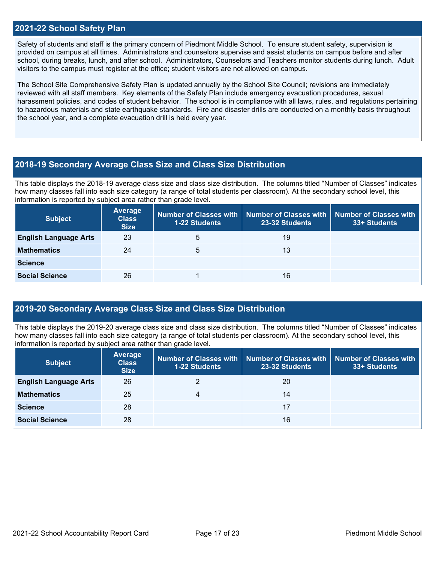### **2021-22 School Safety Plan**

Safety of students and staff is the primary concern of Piedmont Middle School. To ensure student safety, supervision is provided on campus at all times. Administrators and counselors supervise and assist students on campus before and after school, during breaks, lunch, and after school. Administrators, Counselors and Teachers monitor students during lunch. Adult visitors to the campus must register at the office; student visitors are not allowed on campus.

The School Site Comprehensive Safety Plan is updated annually by the School Site Council; revisions are immediately reviewed with all staff members. Key elements of the Safety Plan include emergency evacuation procedures, sexual harassment policies, and codes of student behavior. The school is in compliance with all laws, rules, and regulations pertaining to hazardous materials and state earthquake standards. Fire and disaster drills are conducted on a monthly basis throughout the school year, and a complete evacuation drill is held every year.

#### **2018-19 Secondary Average Class Size and Class Size Distribution**

This table displays the 2018-19 average class size and class size distribution. The columns titled "Number of Classes" indicates how many classes fall into each size category (a range of total students per classroom). At the secondary school level, this information is reported by subject area rather than grade level.

| <b>Subject</b>               | Average<br><b>Class</b><br><b>Size</b> | <b>1-22 Students</b> | Number of Classes with   Number of Classes with   Number of Classes with<br>23-32 Students | 33+ Students |
|------------------------------|----------------------------------------|----------------------|--------------------------------------------------------------------------------------------|--------------|
| <b>English Language Arts</b> | 23                                     | 5                    | 19                                                                                         |              |
| <b>Mathematics</b>           | 24                                     | 5                    | 13                                                                                         |              |
| <b>Science</b>               |                                        |                      |                                                                                            |              |
| <b>Social Science</b>        | 26                                     |                      | 16                                                                                         |              |

## **2019-20 Secondary Average Class Size and Class Size Distribution**

This table displays the 2019-20 average class size and class size distribution. The columns titled "Number of Classes" indicates how many classes fall into each size category (a range of total students per classroom). At the secondary school level, this information is reported by subject area rather than grade level.

| <b>Subject</b>               | <b>Average</b><br><b>Class</b><br><b>Size</b> | 1-22 Students | Number of Classes with   Number of Classes with   Number of Classes with<br>23-32 Students | 33+ Students |
|------------------------------|-----------------------------------------------|---------------|--------------------------------------------------------------------------------------------|--------------|
| <b>English Language Arts</b> | 26                                            |               | 20                                                                                         |              |
| <b>Mathematics</b>           | 25                                            | 4             | 14                                                                                         |              |
| <b>Science</b>               | 28                                            |               | 17                                                                                         |              |
| <b>Social Science</b>        | 28                                            |               | 16                                                                                         |              |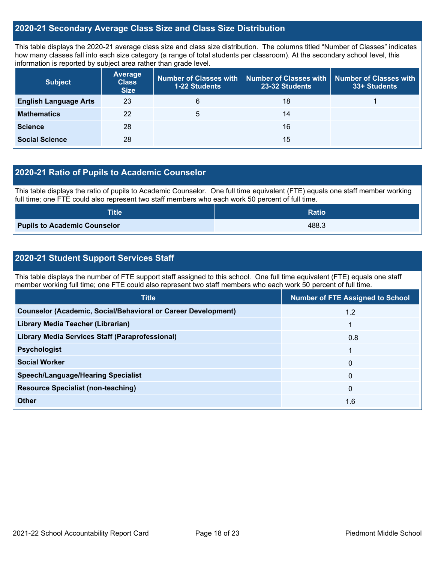## **2020-21 Secondary Average Class Size and Class Size Distribution**

This table displays the 2020-21 average class size and class size distribution. The columns titled "Number of Classes" indicates how many classes fall into each size category (a range of total students per classroom). At the secondary school level, this information is reported by subject area rather than grade level.

| <b>Subject</b>               | <b>Average</b><br><b>Class</b><br><b>Size</b> | 1-22 Students | Number of Classes with   Number of Classes with  <br>23-32 Students | Number of Classes with<br>33+ Students |
|------------------------------|-----------------------------------------------|---------------|---------------------------------------------------------------------|----------------------------------------|
| <b>English Language Arts</b> | 23                                            | 6             | 18                                                                  |                                        |
| <b>Mathematics</b>           | 22                                            | 5             | 14                                                                  |                                        |
| <b>Science</b>               | 28                                            |               | 16                                                                  |                                        |
| <b>Social Science</b>        | 28                                            |               | 15                                                                  |                                        |

## **2020-21 Ratio of Pupils to Academic Counselor**

This table displays the ratio of pupils to Academic Counselor. One full time equivalent (FTE) equals one staff member working full time; one FTE could also represent two staff members who each work 50 percent of full time.

| <b>Title</b>                        | <b>Ratio</b> |
|-------------------------------------|--------------|
| <b>Pupils to Academic Counselor</b> | 488.3        |

## **2020-21 Student Support Services Staff**

This table displays the number of FTE support staff assigned to this school. One full time equivalent (FTE) equals one staff member working full time; one FTE could also represent two staff members who each work 50 percent of full time.

| <b>Title</b>                                                         | <b>Number of FTE Assigned to School</b> |
|----------------------------------------------------------------------|-----------------------------------------|
| <b>Counselor (Academic, Social/Behavioral or Career Development)</b> | 1.2                                     |
| Library Media Teacher (Librarian)                                    |                                         |
| <b>Library Media Services Staff (Paraprofessional)</b>               | 0.8                                     |
| <b>Psychologist</b>                                                  |                                         |
| <b>Social Worker</b>                                                 | $\mathbf{0}$                            |
| <b>Speech/Language/Hearing Specialist</b>                            | $\mathbf{0}$                            |
| <b>Resource Specialist (non-teaching)</b>                            | $\mathbf{0}$                            |
| Other                                                                | 1.6                                     |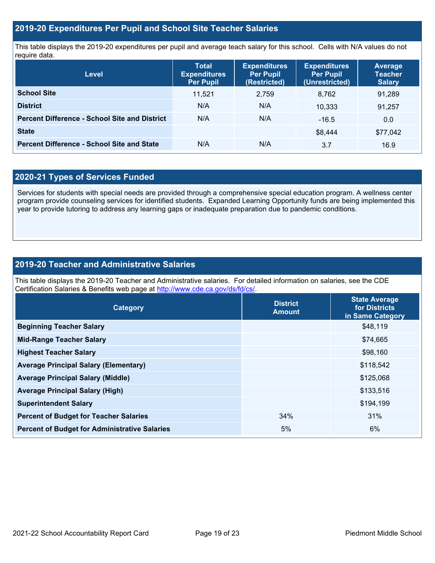## **2019-20 Expenditures Per Pupil and School Site Teacher Salaries**

This table displays the 2019-20 expenditures per pupil and average teach salary for this school. Cells with N/A values do not require data.

| <b>Level</b>                                         | <b>Total</b><br><b>Expenditures</b><br><b>Per Pupil</b> | <b>Expenditures</b><br><b>Per Pupil</b><br>(Restricted) | <b>Expenditures</b><br><b>Per Pupil</b><br>(Unrestricted) | <b>Average</b><br><b>Teacher</b><br><b>Salary</b> |
|------------------------------------------------------|---------------------------------------------------------|---------------------------------------------------------|-----------------------------------------------------------|---------------------------------------------------|
| <b>School Site</b>                                   | 11.521                                                  | 2,759                                                   | 8.762                                                     | 91,289                                            |
| <b>District</b>                                      | N/A                                                     | N/A                                                     | 10.333                                                    | 91,257                                            |
| <b>Percent Difference - School Site and District</b> | N/A                                                     | N/A                                                     | $-16.5$                                                   | 0.0                                               |
| <b>State</b>                                         |                                                         |                                                         | \$8,444                                                   | \$77,042                                          |
| <b>Percent Difference - School Site and State</b>    | N/A                                                     | N/A                                                     | 3.7                                                       | 16.9                                              |

## **2020-21 Types of Services Funded**

Services for students with special needs are provided through a comprehensive special education program. A wellness center program provide counseling services for identified students. Expanded Learning Opportunity funds are being implemented this year to provide tutoring to address any learning gaps or inadequate preparation due to pandemic conditions.

## **2019-20 Teacher and Administrative Salaries**

This table displays the 2019-20 Teacher and Administrative salaries. For detailed information on salaries, see the CDE Certification Salaries & Benefits web page at [http://www.cde.ca.gov/ds/fd/cs/.](http://www.cde.ca.gov/ds/fd/cs/)

| Category                                             | <b>District</b><br><b>Amount</b> | <b>State Average</b><br>for Districts<br>in Same Category |
|------------------------------------------------------|----------------------------------|-----------------------------------------------------------|
| <b>Beginning Teacher Salary</b>                      |                                  | \$48,119                                                  |
| <b>Mid-Range Teacher Salary</b>                      |                                  | \$74,665                                                  |
| <b>Highest Teacher Salary</b>                        |                                  | \$98,160                                                  |
| <b>Average Principal Salary (Elementary)</b>         |                                  | \$118,542                                                 |
| <b>Average Principal Salary (Middle)</b>             |                                  | \$125,068                                                 |
| <b>Average Principal Salary (High)</b>               |                                  | \$133,516                                                 |
| <b>Superintendent Salary</b>                         |                                  | \$194,199                                                 |
| <b>Percent of Budget for Teacher Salaries</b>        | 34%                              | 31%                                                       |
| <b>Percent of Budget for Administrative Salaries</b> | 5%                               | 6%                                                        |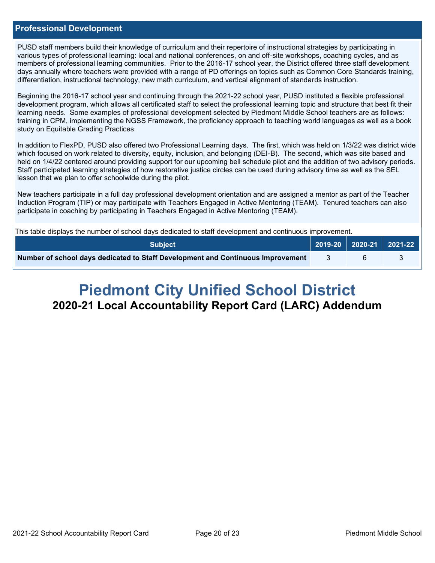### **Professional Development**

PUSD staff members build their knowledge of curriculum and their repertoire of instructional strategies by participating in various types of professional learning: local and national conferences, on and off-site workshops, coaching cycles, and as members of professional learning communities. Prior to the 2016-17 school year, the District offered three staff development days annually where teachers were provided with a range of PD offerings on topics such as Common Core Standards training, differentiation, instructional technology, new math curriculum, and vertical alignment of standards instruction.

Beginning the 2016-17 school year and continuing through the 2021-22 school year, PUSD instituted a flexible professional development program, which allows all certificated staff to select the professional learning topic and structure that best fit their learning needs. Some examples of professional development selected by Piedmont Middle School teachers are as follows: training in CPM, implementing the NGSS Framework, the proficiency approach to teaching world languages as well as a book study on Equitable Grading Practices.

In addition to FlexPD, PUSD also offered two Professional Learning days. The first, which was held on 1/3/22 was district wide which focused on work related to diversity, equity, inclusion, and belonging (DEI-B). The second, which was site based and held on 1/4/22 centered around providing support for our upcoming bell schedule pilot and the addition of two advisory periods. Staff participated learning strategies of how restorative justice circles can be used during advisory time as well as the SEL lesson that we plan to offer schoolwide during the pilot.

New teachers participate in a full day professional development orientation and are assigned a mentor as part of the Teacher Induction Program (TIP) or may participate with Teachers Engaged in Active Mentoring (TEAM). Tenured teachers can also participate in coaching by participating in Teachers Engaged in Active Mentoring (TEAM).

This table displays the number of school days dedicated to staff development and continuous improvement.

| <b>Subject</b>                                                                  |  | $\vert$ 2019-20 $\vert$ 2020-21 $\vert$ 2021-22 $\vert$ |
|---------------------------------------------------------------------------------|--|---------------------------------------------------------|
| Number of school days dedicated to Staff Development and Continuous Improvement |  |                                                         |

# **Piedmont City Unified School District 2020-21 Local Accountability Report Card (LARC) Addendum**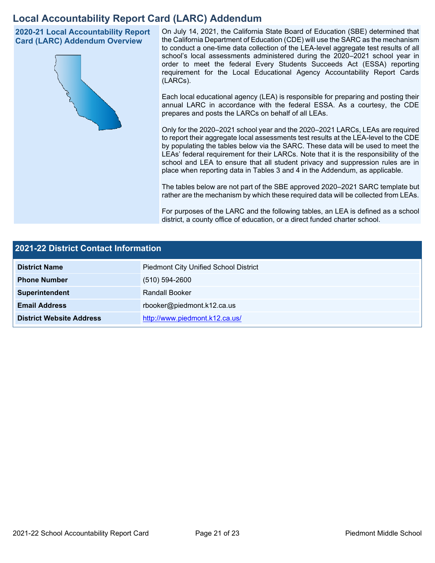## **Local Accountability Report Card (LARC) Addendum**

**2020-21 Local Accountability Report Card (LARC) Addendum Overview**



On July 14, 2021, the California State Board of Education (SBE) determined that the California Department of Education (CDE) will use the SARC as the mechanism to conduct a one-time data collection of the LEA-level aggregate test results of all school's local assessments administered during the 2020–2021 school year in order to meet the federal Every Students Succeeds Act (ESSA) reporting requirement for the Local Educational Agency Accountability Report Cards (LARCs).

Each local educational agency (LEA) is responsible for preparing and posting their annual LARC in accordance with the federal ESSA. As a courtesy, the CDE prepares and posts the LARCs on behalf of all LEAs.

Only for the 2020–2021 school year and the 2020–2021 LARCs, LEAs are required to report their aggregate local assessments test results at the LEA-level to the CDE by populating the tables below via the SARC. These data will be used to meet the LEAs' federal requirement for their LARCs. Note that it is the responsibility of the school and LEA to ensure that all student privacy and suppression rules are in place when reporting data in Tables 3 and 4 in the Addendum, as applicable.

The tables below are not part of the SBE approved 2020–2021 SARC template but rather are the mechanism by which these required data will be collected from LEAs.

For purposes of the LARC and the following tables, an LEA is defined as a school district, a county office of education, or a direct funded charter school.

| <b>2021-22 District Contact Information</b> |                                              |  |
|---------------------------------------------|----------------------------------------------|--|
| <b>District Name</b>                        | <b>Piedmont City Unified School District</b> |  |
| <b>Phone Number</b>                         | $(510) 594 - 2600$                           |  |
| Superintendent                              | Randall Booker                               |  |
| <b>Email Address</b>                        | rbooker@piedmont.k12.ca.us                   |  |
| <b>District Website Address</b>             | http://www.piedmont.k12.ca.us/               |  |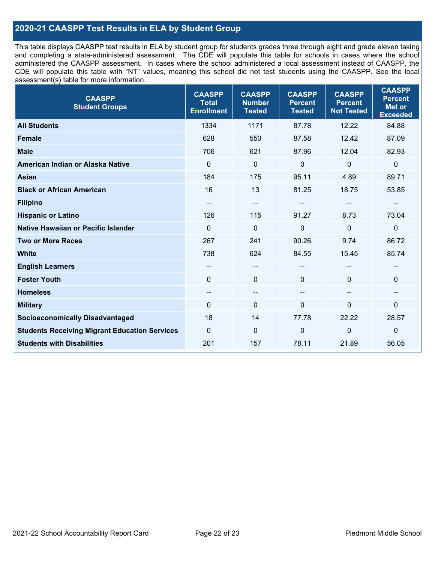## **2020-21 CAASPP Test Results in ELA by Student Group**

This table displays CAASPP test results in ELA by student group for students grades three through eight and grade eleven taking and completing a state-administered assessment. The CDE will populate this table for schools in cases where the school administered the CAASPP assessment. In cases where the school administered a local assessment instead of CAASPP, the CDE will populate this table with "NT" values, meaning this school did not test students using the CAASPP. See the local assessment(s) table for more information.

| <b>CAASPP</b><br><b>Student Groups</b>               | <b>CAASPP</b><br><b>Total</b><br><b>Enrollment</b> | <b>CAASPP</b><br><b>Number</b><br><b>Tested</b> | <b>CAASPP</b><br><b>Percent</b><br><b>Tested</b> | <b>CAASPP</b><br><b>Percent</b><br><b>Not Tested</b> | <b>CAASPP</b><br><b>Percent</b><br><b>Met or</b><br><b>Exceeded</b> |
|------------------------------------------------------|----------------------------------------------------|-------------------------------------------------|--------------------------------------------------|------------------------------------------------------|---------------------------------------------------------------------|
| <b>All Students</b>                                  | 1334                                               | 1171                                            | 87.78                                            | 12.22                                                | 84.88                                                               |
| <b>Female</b>                                        | 628                                                | 550                                             | 87.58                                            | 12.42                                                | 87.09                                                               |
| <b>Male</b>                                          | 706                                                | 621                                             | 87.96                                            | 12.04                                                | 82.93                                                               |
| American Indian or Alaska Native                     | $\mathbf 0$                                        | $\mathbf 0$                                     | $\mathbf 0$                                      | $\mathbf 0$                                          | $\mathbf 0$                                                         |
| <b>Asian</b>                                         | 184                                                | 175                                             | 95.11                                            | 4.89                                                 | 89.71                                                               |
| <b>Black or African American</b>                     | 16                                                 | 13                                              | 81.25                                            | 18.75                                                | 53.85                                                               |
| <b>Filipino</b>                                      | --                                                 | $\overline{\phantom{m}}$                        |                                                  | --                                                   |                                                                     |
| <b>Hispanic or Latino</b>                            | 126                                                | 115                                             | 91.27                                            | 8.73                                                 | 73.04                                                               |
| <b>Native Hawaiian or Pacific Islander</b>           | $\Omega$                                           | $\mathbf 0$                                     | 0                                                | $\overline{0}$                                       | $\mathbf 0$                                                         |
| <b>Two or More Races</b>                             | 267                                                | 241                                             | 90.26                                            | 9.74                                                 | 86.72                                                               |
| <b>White</b>                                         | 738                                                | 624                                             | 84.55                                            | 15.45                                                | 85.74                                                               |
| <b>English Learners</b>                              | --                                                 | $\overline{\phantom{m}}$                        | --                                               |                                                      |                                                                     |
| <b>Foster Youth</b>                                  | $\Omega$                                           | $\mathbf 0$                                     | $\mathbf{0}$                                     | $\Omega$                                             | 0                                                                   |
| <b>Homeless</b>                                      | --                                                 | $\overline{\phantom{m}}$                        | --                                               | $\overline{\phantom{a}}$                             | --                                                                  |
| <b>Military</b>                                      | 0                                                  | $\pmb{0}$                                       | 0                                                | 0                                                    | 0                                                                   |
| <b>Socioeconomically Disadvantaged</b>               | 18                                                 | 14                                              | 77.78                                            | 22.22                                                | 28.57                                                               |
| <b>Students Receiving Migrant Education Services</b> | $\Omega$                                           | $\mathbf 0$                                     | 0                                                | $\mathbf 0$                                          | $\mathbf 0$                                                         |
| <b>Students with Disabilities</b>                    | 201                                                | 157                                             | 78.11                                            | 21.89                                                | 56.05                                                               |